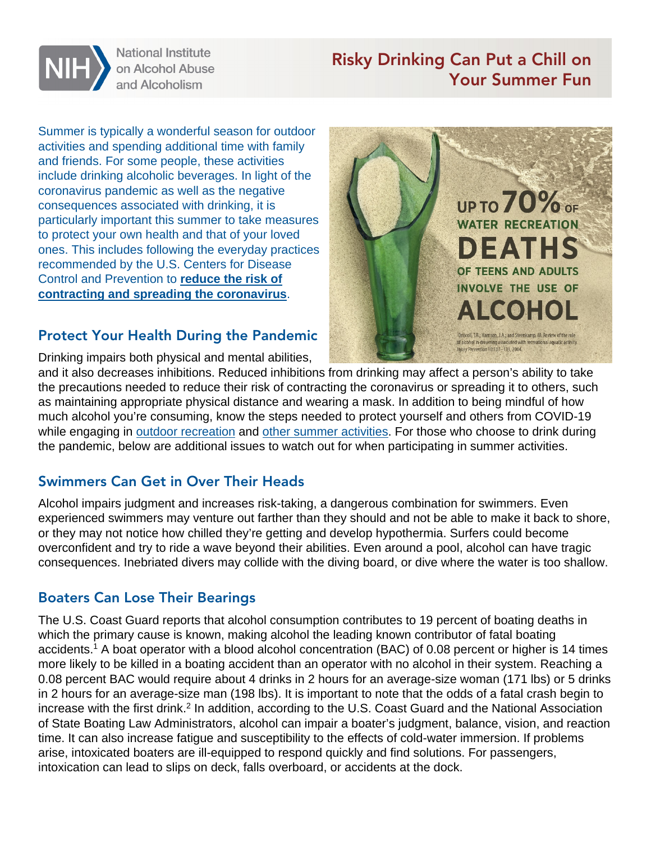

**National Institute** on Alcohol Abuse and Alcoholism

# Risky Drinking Can Put a Chill on Your Summer Fun

Summer is typically a wonderful season for outdoor activities and spending additional time with family and friends. For some people, these activities include drinking alcoholic beverages. In light of the coronavirus pandemic as well as the negative consequences associated with drinking, it is particularly important this summer to take measures to protect your own health and that of your loved ones. This includes following the everyday practices recommended by the U.S. Centers for Disease Control and Prevention to **[reduce the risk of](https://www.cdc.gov/coronavirus/2019-ncov/prevent-getting-sick/prevention.html)  [contracting and spreading the coronavirus](https://www.cdc.gov/coronavirus/2019-ncov/prevent-getting-sick/prevention.html)**.

#### Protect Your Health During the Pandemic

Drinking impairs both physical and mental abilities,



and it also decreases inhibitions. Reduced inhibitions from drinking may affect a person's ability to take the precautions needed to reduce their risk of contracting the coronavirus or spreading it to others, such as maintaining appropriate physical distance and wearing a mask. In addition to being mindful of how much alcohol you're consuming, know the steps needed to protect yourself and others from COVID-19 while engaging in [outdoor recreation](https://www.cdc.gov/coronavirus/2019-ncov/daily-life-coping/visitors.html) and [other summer activities.](https://www.cdc.gov/coronavirus/2019-ncov/daily-life-coping/personal-social-activities.html) For those who choose to drink during the pandemic, below are additional issues to watch out for when participating in summer activities.

## Swimmers Can Get in Over Their Heads

Alcohol impairs judgment and increases risk-taking, a dangerous combination for swimmers. Even experienced swimmers may venture out farther than they should and not be able to make it back to shore, or they may not notice how chilled they're getting and develop hypothermia. Surfers could become overconfident and try to ride a wave beyond their abilities. Even around a pool, alcohol can have tragic consequences. Inebriated divers may collide with the diving board, or dive where the water is too shallow.

#### Boaters Can Lose Their Bearings

The U.S. Coast Guard reports that alcohol consumption contributes to 19 percent of boating deaths in which the primary cause is known, making alcohol the leading known contributor of fatal boating accidents.<sup>1</sup> A boat operator with a blood alcohol concentration (BAC) of 0.08 percent or higher is 14 times more likely to be killed in a boating accident than an operator with no alcohol in their system. Reaching a 0.08 percent BAC would require about 4 drinks in 2 hours for an average-size woman (171 lbs) or 5 drinks in 2 hours for an average-size man (198 lbs). It is important to note that the odds of a fatal crash begin to increase with the first drink.<sup>2</sup> In addition, according to the U.S. Coast Guard and the National Association of State Boating Law Administrators, alcohol can impair a boater's judgment, balance, vision, and reaction time. It can also increase fatigue and susceptibility to the effects of cold-water immersion. If problems arise, intoxicated boaters are ill-equipped to respond quickly and find solutions. For passengers, intoxication can lead to slips on deck, falls overboard, or accidents at the dock.